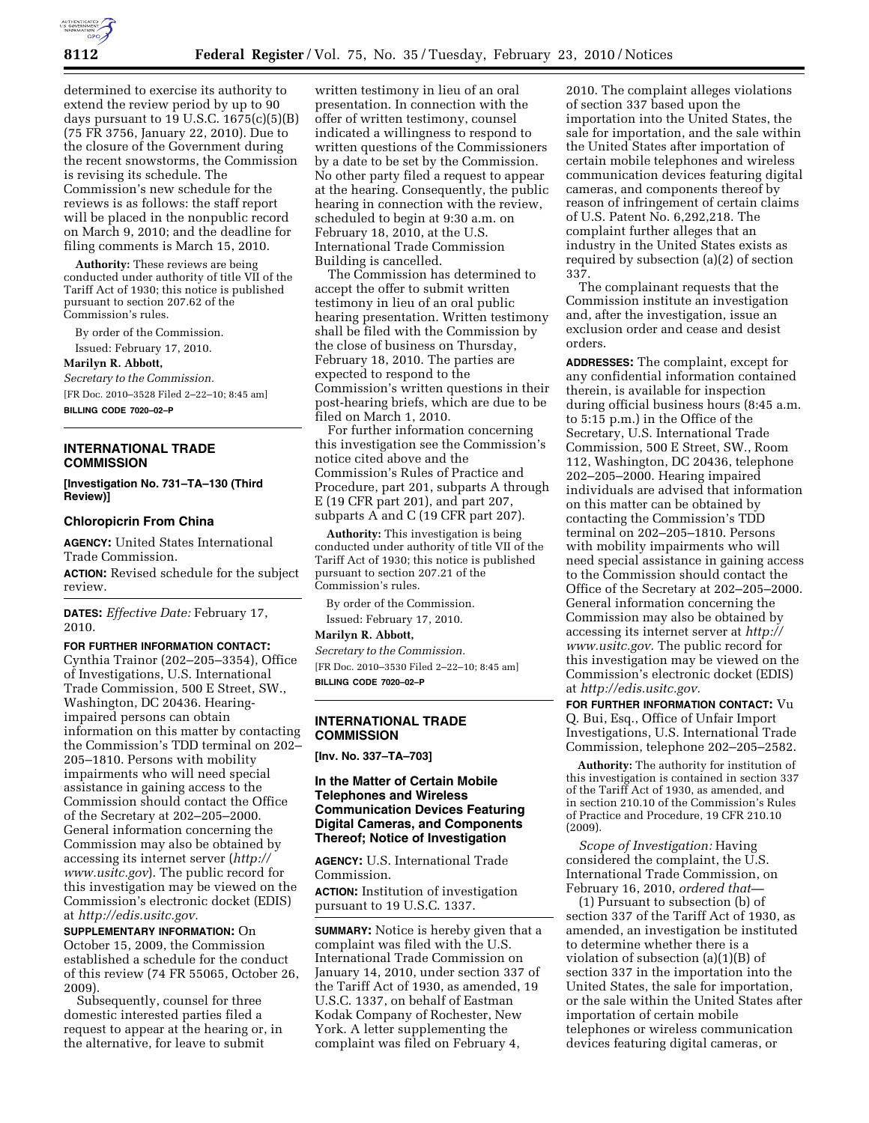

determined to exercise its authority to extend the review period by up to 90 days pursuant to 19 U.S.C.  $1675(c)(5)(B)$ (75 FR 3756, January 22, 2010). Due to the closure of the Government during the recent snowstorms, the Commission is revising its schedule. The Commission's new schedule for the reviews is as follows: the staff report will be placed in the nonpublic record on March 9, 2010; and the deadline for filing comments is March 15, 2010.

**Authority:** These reviews are being conducted under authority of title VII of the Tariff Act of 1930; this notice is published pursuant to section 207.62 of the Commission's rules.

By order of the Commission. Issued: February 17, 2010.

#### **Marilyn R. Abbott,**

*Secretary to the Commission.*  [FR Doc. 2010–3528 Filed 2–22–10; 8:45 am]

**BILLING CODE 7020–02–P** 

#### **INTERNATIONAL TRADE COMMISSION**

**[Investigation No. 731–TA–130 (Third Review)]** 

## **Chloropicrin From China**

**AGENCY:** United States International Trade Commission.

**ACTION:** Revised schedule for the subject review.

**DATES:** *Effective Date:* February 17, 2010.

#### **FOR FURTHER INFORMATION CONTACT:**

Cynthia Trainor (202–205–3354), Office of Investigations, U.S. International Trade Commission, 500 E Street, SW., Washington, DC 20436. Hearingimpaired persons can obtain information on this matter by contacting the Commission's TDD terminal on 202– 205–1810. Persons with mobility impairments who will need special assistance in gaining access to the Commission should contact the Office of the Secretary at 202–205–2000. General information concerning the Commission may also be obtained by accessing its internet server (*http:// www.usitc.gov*). The public record for this investigation may be viewed on the Commission's electronic docket (EDIS) at *http://edis.usitc.gov.* 

**SUPPLEMENTARY INFORMATION:** On October 15, 2009, the Commission established a schedule for the conduct of this review (74 FR 55065, October 26, 2009).

Subsequently, counsel for three domestic interested parties filed a request to appear at the hearing or, in the alternative, for leave to submit

written testimony in lieu of an oral presentation. In connection with the offer of written testimony, counsel indicated a willingness to respond to written questions of the Commissioners by a date to be set by the Commission. No other party filed a request to appear at the hearing. Consequently, the public hearing in connection with the review, scheduled to begin at 9:30 a.m. on February 18, 2010, at the U.S. International Trade Commission Building is cancelled.

The Commission has determined to accept the offer to submit written testimony in lieu of an oral public hearing presentation. Written testimony shall be filed with the Commission by the close of business on Thursday, February 18, 2010. The parties are expected to respond to the Commission's written questions in their post-hearing briefs, which are due to be filed on March 1, 2010.

For further information concerning this investigation see the Commission's notice cited above and the Commission's Rules of Practice and Procedure, part 201, subparts A through E (19 CFR part 201), and part 207, subparts A and C (19 CFR part 207).

**Authority:** This investigation is being conducted under authority of title VII of the Tariff Act of 1930; this notice is published pursuant to section 207.21 of the Commission's rules.

By order of the Commission. Issued: February 17, 2010.

**Marilyn R. Abbott,** 

*Secretary to the Commission.*  [FR Doc. 2010–3530 Filed 2–22–10; 8:45 am] **BILLING CODE 7020–02–P** 

#### **INTERNATIONAL TRADE COMMISSION**

**[Inv. No. 337–TA–703]** 

### **In the Matter of Certain Mobile Telephones and Wireless Communication Devices Featuring Digital Cameras, and Components Thereof; Notice of Investigation**

**AGENCY:** U.S. International Trade Commission.

**ACTION:** Institution of investigation pursuant to 19 U.S.C. 1337.

**SUMMARY:** Notice is hereby given that a complaint was filed with the U.S. International Trade Commission on January 14, 2010, under section 337 of the Tariff Act of 1930, as amended, 19 U.S.C. 1337, on behalf of Eastman Kodak Company of Rochester, New York. A letter supplementing the complaint was filed on February 4,

2010. The complaint alleges violations of section 337 based upon the importation into the United States, the sale for importation, and the sale within the United States after importation of certain mobile telephones and wireless communication devices featuring digital cameras, and components thereof by reason of infringement of certain claims of U.S. Patent No. 6,292,218. The complaint further alleges that an industry in the United States exists as required by subsection (a)(2) of section 337.

The complainant requests that the Commission institute an investigation and, after the investigation, issue an exclusion order and cease and desist orders.

**ADDRESSES:** The complaint, except for any confidential information contained therein, is available for inspection during official business hours (8:45 a.m. to 5:15 p.m.) in the Office of the Secretary, U.S. International Trade Commission, 500 E Street, SW., Room 112, Washington, DC 20436, telephone 202–205–2000. Hearing impaired individuals are advised that information on this matter can be obtained by contacting the Commission's TDD terminal on 202–205–1810. Persons with mobility impairments who will need special assistance in gaining access to the Commission should contact the Office of the Secretary at 202–205–2000. General information concerning the Commission may also be obtained by accessing its internet server at *http:// www.usitc.gov.* The public record for this investigation may be viewed on the Commission's electronic docket (EDIS) at *http://edis.usitc.gov.* 

**FOR FURTHER INFORMATION CONTACT:** Vu Q. Bui, Esq., Office of Unfair Import Investigations, U.S. International Trade Commission, telephone 202–205–2582.

**Authority:** The authority for institution of this investigation is contained in section 337 of the Tariff Act of 1930, as amended, and in section 210.10 of the Commission's Rules of Practice and Procedure, 19 CFR 210.10 (2009).

*Scope of Investigation:* Having considered the complaint, the U.S. International Trade Commission, on February 16, 2010, *ordered that—* 

(1) Pursuant to subsection (b) of section 337 of the Tariff Act of 1930, as amended, an investigation be instituted to determine whether there is a violation of subsection (a)(1)(B) of section 337 in the importation into the United States, the sale for importation, or the sale within the United States after importation of certain mobile telephones or wireless communication devices featuring digital cameras, or